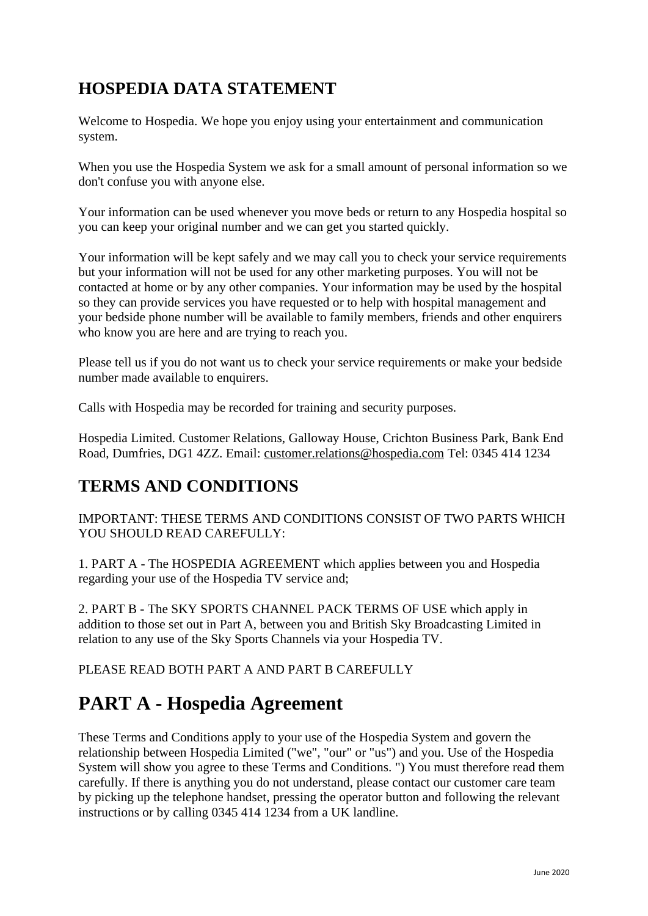# **HOSPEDIA DATA STATEMENT**

Welcome to Hospedia. We hope you enjoy using your entertainment and communication system.

When you use the Hospedia System we ask for a small amount of personal information so we don't confuse you with anyone else.

Your information can be used whenever you move beds or return to any Hospedia hospital so you can keep your original number and we can get you started quickly.

Your information will be kept safely and we may call you to check your service requirements but your information will not be used for any other marketing purposes. You will not be contacted at home or by any other companies. Your information may be used by the hospital so they can provide services you have requested or to help with hospital management and your bedside phone number will be available to family members, friends and other enquirers who know you are here and are trying to reach you.

Please tell us if you do not want us to check your service requirements or make your bedside number made available to enquirers.

Calls with Hospedia may be recorded for training and security purposes.

Hospedia Limited. Customer Relations, Galloway House, Crichton Business Park, Bank End Road, Dumfries, DG1 4ZZ. Email: [customer.relations@hospedia.com](mailto:customer.relations@hospedia.com) Tel: 0345 414 1234

# **TERMS AND CONDITIONS**

IMPORTANT: THESE TERMS AND CONDITIONS CONSIST OF TWO PARTS WHICH YOU SHOULD READ CAREFULLY:

1. PART A - The HOSPEDIA AGREEMENT which applies between you and Hospedia regarding your use of the Hospedia TV service and;

2. PART B - The SKY SPORTS CHANNEL PACK TERMS OF USE which apply in addition to those set out in Part A, between you and British Sky Broadcasting Limited in relation to any use of the Sky Sports Channels via your Hospedia TV.

PLEASE READ BOTH PART A AND PART B CAREFULLY

# **PART A - Hospedia Agreement**

These Terms and Conditions apply to your use of the Hospedia System and govern the relationship between Hospedia Limited ("we", "our" or "us") and you. Use of the Hospedia System will show you agree to these Terms and Conditions. ") You must therefore read them carefully. If there is anything you do not understand, please contact our customer care team by picking up the telephone handset, pressing the operator button and following the relevant instructions or by calling 0345 414 1234 from a UK landline.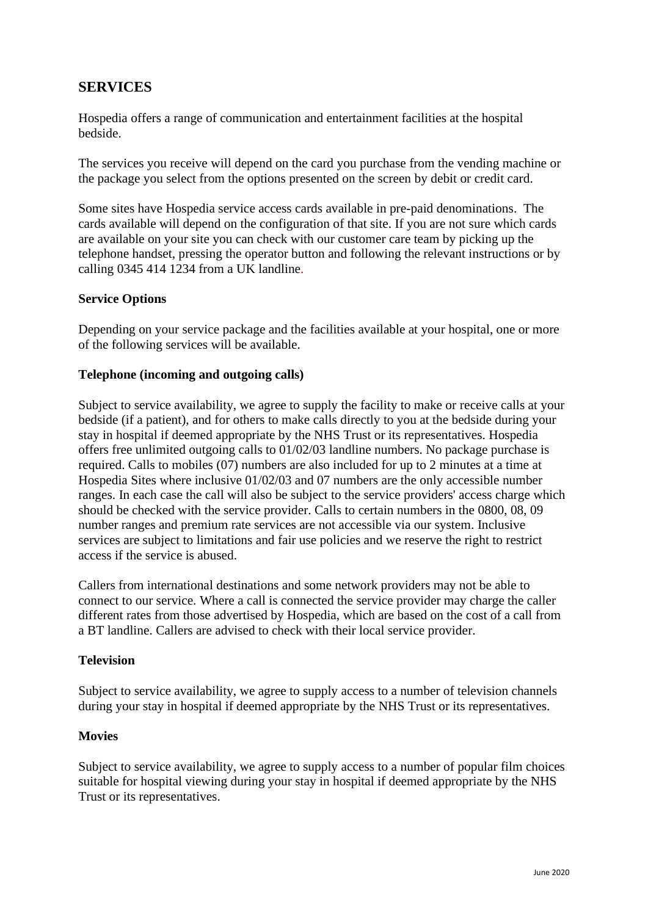# **SERVICES**

Hospedia offers a range of communication and entertainment facilities at the hospital bedside.

The services you receive will depend on the card you purchase from the vending machine or the package you select from the options presented on the screen by debit or credit card.

Some sites have Hospedia service access cards available in pre-paid denominations. The cards available will depend on the configuration of that site. If you are not sure which cards are available on your site you can check with our customer care team by picking up the telephone handset, pressing the operator button and following the relevant instructions or by calling 0345 414 1234 from a UK landline.

### **Service Options**

Depending on your service package and the facilities available at your hospital, one or more of the following services will be available.

#### **Telephone (incoming and outgoing calls)**

Subject to service availability, we agree to supply the facility to make or receive calls at your bedside (if a patient), and for others to make calls directly to you at the bedside during your stay in hospital if deemed appropriate by the NHS Trust or its representatives. Hospedia offers free unlimited outgoing calls to 01/02/03 landline numbers. No package purchase is required. Calls to mobiles (07) numbers are also included for up to 2 minutes at a time at Hospedia Sites where inclusive 01/02/03 and 07 numbers are the only accessible number ranges. In each case the call will also be subject to the service providers' access charge which should be checked with the service provider. Calls to certain numbers in the 0800, 08, 09 number ranges and premium rate services are not accessible via our system. Inclusive services are subject to limitations and fair use policies and we reserve the right to restrict access if the service is abused.

Callers from international destinations and some network providers may not be able to connect to our service. Where a call is connected the service provider may charge the caller different rates from those advertised by Hospedia, which are based on the cost of a call from a BT landline. Callers are advised to check with their local service provider.

#### **Television**

Subject to service availability, we agree to supply access to a number of television channels during your stay in hospital if deemed appropriate by the NHS Trust or its representatives.

#### **Movies**

Subject to service availability, we agree to supply access to a number of popular film choices suitable for hospital viewing during your stay in hospital if deemed appropriate by the NHS Trust or its representatives.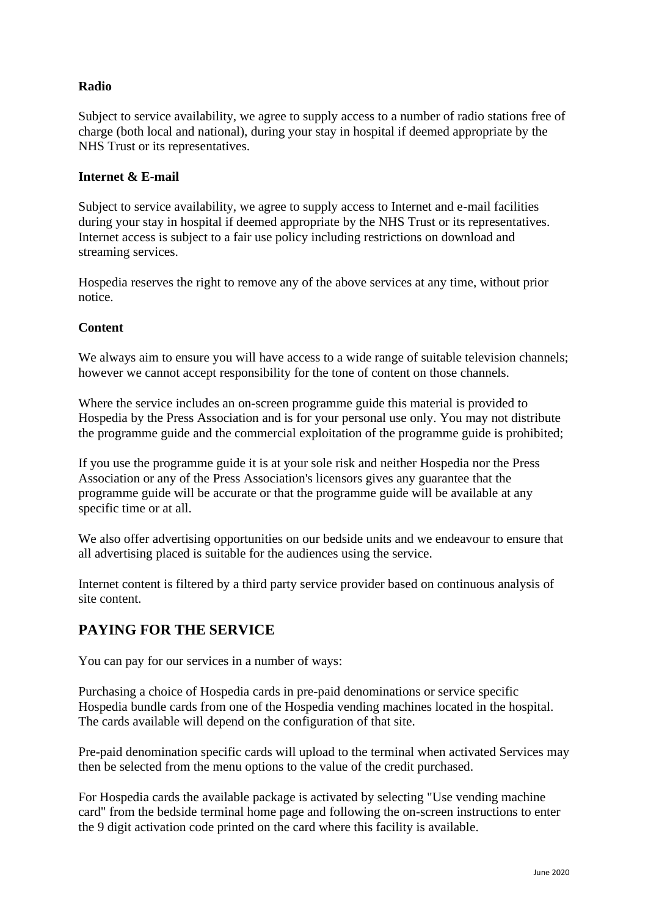## **Radio**

Subject to service availability, we agree to supply access to a number of radio stations free of charge (both local and national), during your stay in hospital if deemed appropriate by the NHS Trust or its representatives.

### **Internet & E-mail**

Subject to service availability, we agree to supply access to Internet and e-mail facilities during your stay in hospital if deemed appropriate by the NHS Trust or its representatives. Internet access is subject to a fair use policy including restrictions on download and streaming services.

Hospedia reserves the right to remove any of the above services at any time, without prior notice.

## **Content**

We always aim to ensure you will have access to a wide range of suitable television channels; however we cannot accept responsibility for the tone of content on those channels.

Where the service includes an on-screen programme guide this material is provided to Hospedia by the Press Association and is for your personal use only. You may not distribute the programme guide and the commercial exploitation of the programme guide is prohibited;

If you use the programme guide it is at your sole risk and neither Hospedia nor the Press Association or any of the Press Association's licensors gives any guarantee that the programme guide will be accurate or that the programme guide will be available at any specific time or at all.

We also offer advertising opportunities on our bedside units and we endeavour to ensure that all advertising placed is suitable for the audiences using the service.

Internet content is filtered by a third party service provider based on continuous analysis of site content.

# **PAYING FOR THE SERVICE**

You can pay for our services in a number of ways:

Purchasing a choice of Hospedia cards in pre-paid denominations or service specific Hospedia bundle cards from one of the Hospedia vending machines located in the hospital. The cards available will depend on the configuration of that site.

Pre-paid denomination specific cards will upload to the terminal when activated Services may then be selected from the menu options to the value of the credit purchased.

For Hospedia cards the available package is activated by selecting "Use vending machine card" from the bedside terminal home page and following the on-screen instructions to enter the 9 digit activation code printed on the card where this facility is available.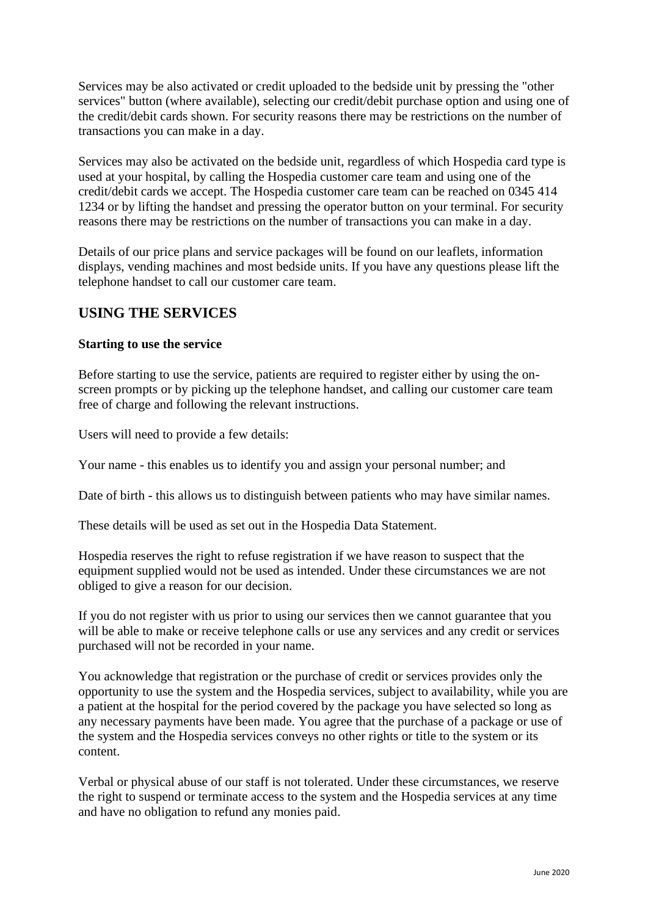Services may be also activated or credit uploaded to the bedside unit by pressing the "other services" button (where available), selecting our credit/debit purchase option and using one of the credit/debit cards shown. For security reasons there may be restrictions on the number of transactions you can make in a day.

Services may also be activated on the bedside unit, regardless of which Hospedia card type is used at your hospital, by calling the Hospedia customer care team and using one of the credit/debit cards we accept. The Hospedia customer care team can be reached on 0345 414 1234 or by lifting the handset and pressing the operator button on your terminal. For security reasons there may be restrictions on the number of transactions you can make in a day.

Details of our price plans and service packages will be found on our leaflets, information displays, vending machines and most bedside units. If you have any questions please lift the telephone handset to call our customer care team.

# **USING THE SERVICES**

#### **Starting to use the service**

Before starting to use the service, patients are required to register either by using the onscreen prompts or by picking up the telephone handset, and calling our customer care team free of charge and following the relevant instructions.

Users will need to provide a few details:

Your name - this enables us to identify you and assign your personal number; and

Date of birth - this allows us to distinguish between patients who may have similar names.

These details will be used as set out in the Hospedia Data Statement.

Hospedia reserves the right to refuse registration if we have reason to suspect that the equipment supplied would not be used as intended. Under these circumstances we are not obliged to give a reason for our decision.

If you do not register with us prior to using our services then we cannot guarantee that you will be able to make or receive telephone calls or use any services and any credit or services purchased will not be recorded in your name.

You acknowledge that registration or the purchase of credit or services provides only the opportunity to use the system and the Hospedia services, subject to availability, while you are a patient at the hospital for the period covered by the package you have selected so long as any necessary payments have been made. You agree that the purchase of a package or use of the system and the Hospedia services conveys no other rights or title to the system or its content.

Verbal or physical abuse of our staff is not tolerated. Under these circumstances, we reserve the right to suspend or terminate access to the system and the Hospedia services at any time and have no obligation to refund any monies paid.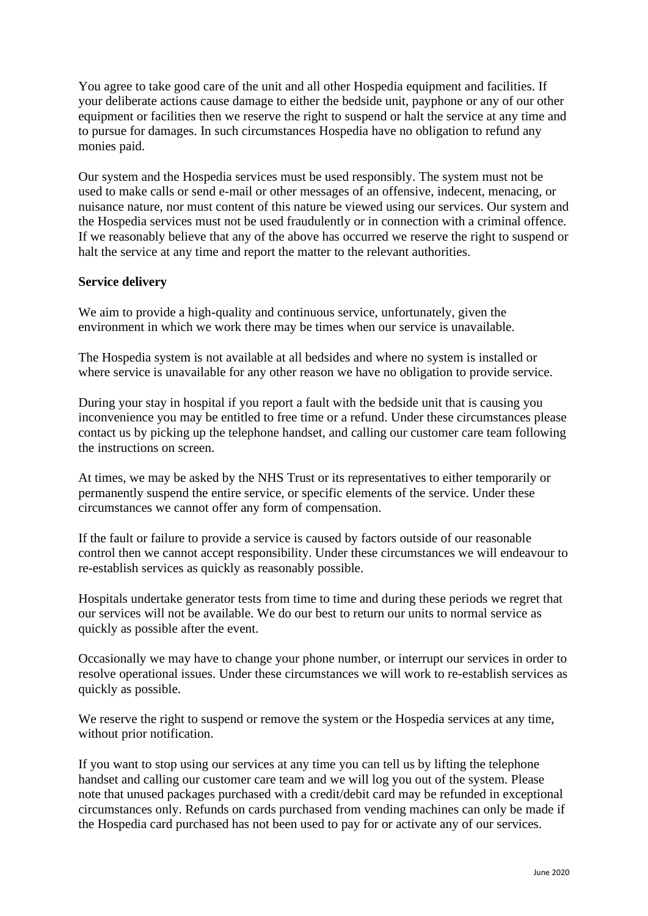You agree to take good care of the unit and all other Hospedia equipment and facilities. If your deliberate actions cause damage to either the bedside unit, payphone or any of our other equipment or facilities then we reserve the right to suspend or halt the service at any time and to pursue for damages. In such circumstances Hospedia have no obligation to refund any monies paid.

Our system and the Hospedia services must be used responsibly. The system must not be used to make calls or send e-mail or other messages of an offensive, indecent, menacing, or nuisance nature, nor must content of this nature be viewed using our services. Our system and the Hospedia services must not be used fraudulently or in connection with a criminal offence. If we reasonably believe that any of the above has occurred we reserve the right to suspend or halt the service at any time and report the matter to the relevant authorities.

## **Service delivery**

We aim to provide a high-quality and continuous service, unfortunately, given the environment in which we work there may be times when our service is unavailable.

The Hospedia system is not available at all bedsides and where no system is installed or where service is unavailable for any other reason we have no obligation to provide service.

During your stay in hospital if you report a fault with the bedside unit that is causing you inconvenience you may be entitled to free time or a refund. Under these circumstances please contact us by picking up the telephone handset, and calling our customer care team following the instructions on screen.

At times, we may be asked by the NHS Trust or its representatives to either temporarily or permanently suspend the entire service, or specific elements of the service. Under these circumstances we cannot offer any form of compensation.

If the fault or failure to provide a service is caused by factors outside of our reasonable control then we cannot accept responsibility. Under these circumstances we will endeavour to re-establish services as quickly as reasonably possible.

Hospitals undertake generator tests from time to time and during these periods we regret that our services will not be available. We do our best to return our units to normal service as quickly as possible after the event.

Occasionally we may have to change your phone number, or interrupt our services in order to resolve operational issues. Under these circumstances we will work to re-establish services as quickly as possible.

We reserve the right to suspend or remove the system or the Hospedia services at any time, without prior notification.

If you want to stop using our services at any time you can tell us by lifting the telephone handset and calling our customer care team and we will log you out of the system. Please note that unused packages purchased with a credit/debit card may be refunded in exceptional circumstances only. Refunds on cards purchased from vending machines can only be made if the Hospedia card purchased has not been used to pay for or activate any of our services.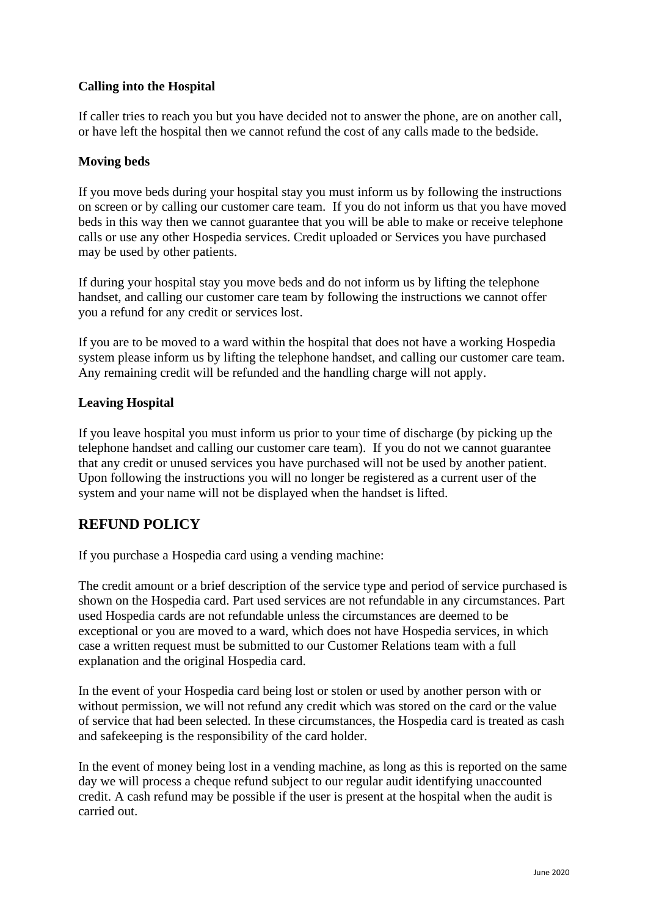# **Calling into the Hospital**

If caller tries to reach you but you have decided not to answer the phone, are on another call, or have left the hospital then we cannot refund the cost of any calls made to the bedside.

## **Moving beds**

If you move beds during your hospital stay you must inform us by following the instructions on screen or by calling our customer care team. If you do not inform us that you have moved beds in this way then we cannot guarantee that you will be able to make or receive telephone calls or use any other Hospedia services. Credit uploaded or Services you have purchased may be used by other patients.

If during your hospital stay you move beds and do not inform us by lifting the telephone handset, and calling our customer care team by following the instructions we cannot offer you a refund for any credit or services lost.

If you are to be moved to a ward within the hospital that does not have a working Hospedia system please inform us by lifting the telephone handset, and calling our customer care team. Any remaining credit will be refunded and the handling charge will not apply.

## **Leaving Hospital**

If you leave hospital you must inform us prior to your time of discharge (by picking up the telephone handset and calling our customer care team). If you do not we cannot guarantee that any credit or unused services you have purchased will not be used by another patient. Upon following the instructions you will no longer be registered as a current user of the system and your name will not be displayed when the handset is lifted.

# **REFUND POLICY**

If you purchase a Hospedia card using a vending machine:

The credit amount or a brief description of the service type and period of service purchased is shown on the Hospedia card. Part used services are not refundable in any circumstances. Part used Hospedia cards are not refundable unless the circumstances are deemed to be exceptional or you are moved to a ward, which does not have Hospedia services, in which case a written request must be submitted to our Customer Relations team with a full explanation and the original Hospedia card.

In the event of your Hospedia card being lost or stolen or used by another person with or without permission, we will not refund any credit which was stored on the card or the value of service that had been selected. In these circumstances, the Hospedia card is treated as cash and safekeeping is the responsibility of the card holder.

In the event of money being lost in a vending machine, as long as this is reported on the same day we will process a cheque refund subject to our regular audit identifying unaccounted credit. A cash refund may be possible if the user is present at the hospital when the audit is carried out.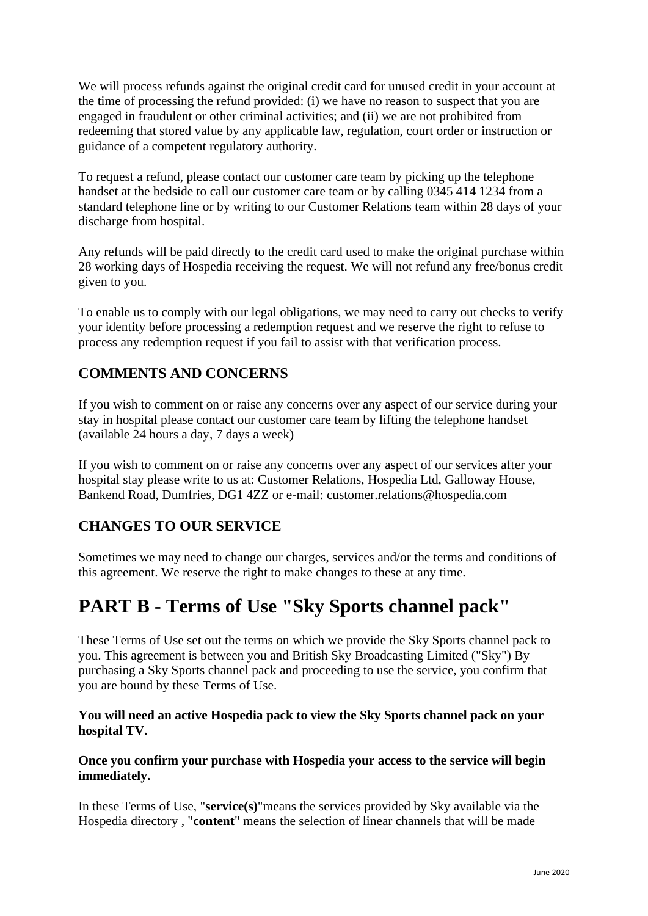We will process refunds against the original credit card for unused credit in your account at the time of processing the refund provided: (i) we have no reason to suspect that you are engaged in fraudulent or other criminal activities; and (ii) we are not prohibited from redeeming that stored value by any applicable law, regulation, court order or instruction or guidance of a competent regulatory authority.

To request a refund, please contact our customer care team by picking up the telephone handset at the bedside to call our customer care team or by calling 0345 414 1234 from a standard telephone line or by writing to our Customer Relations team within 28 days of your discharge from hospital.

Any refunds will be paid directly to the credit card used to make the original purchase within 28 working days of Hospedia receiving the request. We will not refund any free/bonus credit given to you.

To enable us to comply with our legal obligations, we may need to carry out checks to verify your identity before processing a redemption request and we reserve the right to refuse to process any redemption request if you fail to assist with that verification process.

# **COMMENTS AND CONCERNS**

If you wish to comment on or raise any concerns over any aspect of our service during your stay in hospital please contact our customer care team by lifting the telephone handset (available 24 hours a day, 7 days a week)

If you wish to comment on or raise any concerns over any aspect of our services after your hospital stay please write to us at: Customer Relations, Hospedia Ltd, Galloway House, Bankend Road, Dumfries, DG1 4ZZ or e-mail: [customer.relations@hospedia.com](mailto:customer.relations@hospedia.com)

# **CHANGES TO OUR SERVICE**

Sometimes we may need to change our charges, services and/or the terms and conditions of this agreement. We reserve the right to make changes to these at any time.

# **PART B - Terms of Use "Sky Sports channel pack"**

These Terms of Use set out the terms on which we provide the Sky Sports channel pack to you. This agreement is between you and British Sky Broadcasting Limited ("Sky") By purchasing a Sky Sports channel pack and proceeding to use the service, you confirm that you are bound by these Terms of Use.

## **You will need an active Hospedia pack to view the Sky Sports channel pack on your hospital TV.**

## **Once you confirm your purchase with Hospedia your access to the service will begin immediately.**

In these Terms of Use, "**service(s)**"means the services provided by Sky available via the Hospedia directory , "**content**" means the selection of linear channels that will be made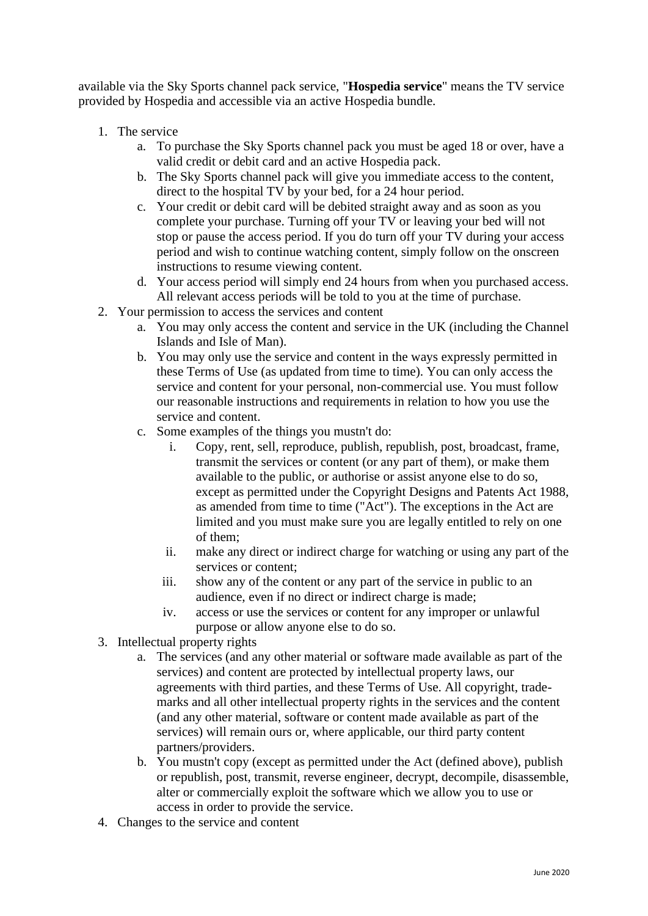available via the Sky Sports channel pack service, "**Hospedia service**" means the TV service provided by Hospedia and accessible via an active Hospedia bundle.

- 1. The service
	- a. To purchase the Sky Sports channel pack you must be aged 18 or over, have a valid credit or debit card and an active Hospedia pack.
	- b. The Sky Sports channel pack will give you immediate access to the content, direct to the hospital TV by your bed, for a 24 hour period.
	- c. Your credit or debit card will be debited straight away and as soon as you complete your purchase. Turning off your TV or leaving your bed will not stop or pause the access period. If you do turn off your TV during your access period and wish to continue watching content, simply follow on the onscreen instructions to resume viewing content.
	- d. Your access period will simply end 24 hours from when you purchased access. All relevant access periods will be told to you at the time of purchase.
- 2. Your permission to access the services and content
	- a. You may only access the content and service in the UK (including the Channel Islands and Isle of Man).
	- b. You may only use the service and content in the ways expressly permitted in these Terms of Use (as updated from time to time). You can only access the service and content for your personal, non-commercial use. You must follow our reasonable instructions and requirements in relation to how you use the service and content.
	- c. Some examples of the things you mustn't do:
		- i. Copy, rent, sell, reproduce, publish, republish, post, broadcast, frame, transmit the services or content (or any part of them), or make them available to the public, or authorise or assist anyone else to do so, except as permitted under the Copyright Designs and Patents Act 1988, as amended from time to time ("Act"). The exceptions in the Act are limited and you must make sure you are legally entitled to rely on one of them;
		- ii. make any direct or indirect charge for watching or using any part of the services or content;
		- iii. show any of the content or any part of the service in public to an audience, even if no direct or indirect charge is made;
		- iv. access or use the services or content for any improper or unlawful purpose or allow anyone else to do so.
- 3. Intellectual property rights
	- a. The services (and any other material or software made available as part of the services) and content are protected by intellectual property laws, our agreements with third parties, and these Terms of Use. All copyright, trademarks and all other intellectual property rights in the services and the content (and any other material, software or content made available as part of the services) will remain ours or, where applicable, our third party content partners/providers.
	- b. You mustn't copy (except as permitted under the Act (defined above), publish or republish, post, transmit, reverse engineer, decrypt, decompile, disassemble, alter or commercially exploit the software which we allow you to use or access in order to provide the service.
- 4. Changes to the service and content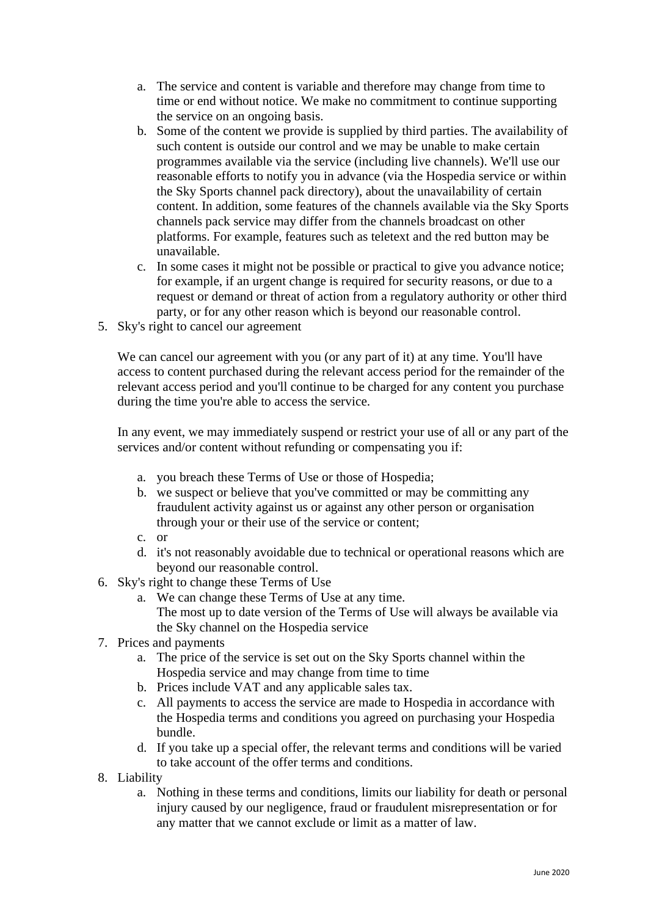- a. The service and content is variable and therefore may change from time to time or end without notice. We make no commitment to continue supporting the service on an ongoing basis.
- b. Some of the content we provide is supplied by third parties. The availability of such content is outside our control and we may be unable to make certain programmes available via the service (including live channels). We'll use our reasonable efforts to notify you in advance (via the Hospedia service or within the Sky Sports channel pack directory), about the unavailability of certain content. In addition, some features of the channels available via the Sky Sports channels pack service may differ from the channels broadcast on other platforms. For example, features such as teletext and the red button may be unavailable.
- c. In some cases it might not be possible or practical to give you advance notice; for example, if an urgent change is required for security reasons, or due to a request or demand or threat of action from a regulatory authority or other third party, or for any other reason which is beyond our reasonable control.
- 5. Sky's right to cancel our agreement

We can cancel our agreement with you (or any part of it) at any time. You'll have access to content purchased during the relevant access period for the remainder of the relevant access period and you'll continue to be charged for any content you purchase during the time you're able to access the service.

In any event, we may immediately suspend or restrict your use of all or any part of the services and/or content without refunding or compensating you if:

- a. you breach these Terms of Use or those of Hospedia;
- b. we suspect or believe that you've committed or may be committing any fraudulent activity against us or against any other person or organisation through your or their use of the service or content;
- c. or
- d. it's not reasonably avoidable due to technical or operational reasons which are beyond our reasonable control.
- 6. Sky's right to change these Terms of Use
	- a. We can change these Terms of Use at any time. The most up to date version of the Terms of Use will always be available via the Sky channel on the Hospedia service
- 7. Prices and payments
	- a. The price of the service is set out on the Sky Sports channel within the Hospedia service and may change from time to time
	- b. Prices include VAT and any applicable sales tax.
	- c. All payments to access the service are made to Hospedia in accordance with the Hospedia terms and conditions you agreed on purchasing your Hospedia bundle.
	- d. If you take up a special offer, the relevant terms and conditions will be varied to take account of the offer terms and conditions.
- 8. Liability
	- a. Nothing in these terms and conditions, limits our liability for death or personal injury caused by our negligence, fraud or fraudulent misrepresentation or for any matter that we cannot exclude or limit as a matter of law.